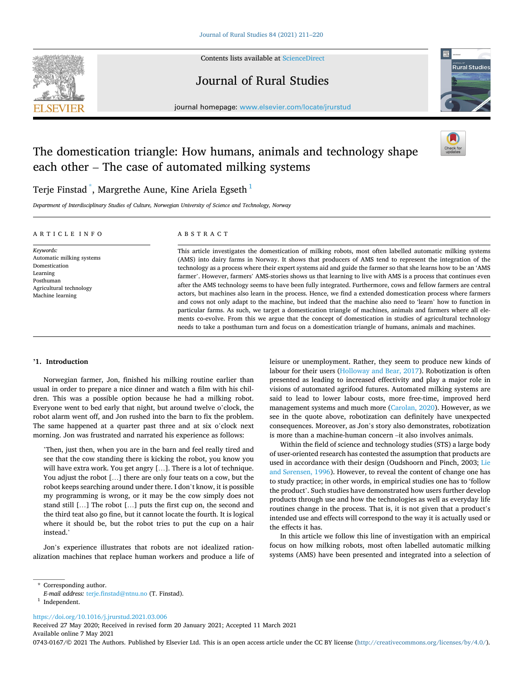

Contents lists available at [ScienceDirect](www.sciencedirect.com/science/journal/07430167)

## Journal of Rural Studies



journal homepage: [www.elsevier.com/locate/jrurstud](https://www.elsevier.com/locate/jrurstud)

# The domestication triangle: How humans, animals and technology shape each other – The case of automated milking systems



## Terje Finstad  $\degree$ , Margrethe Aune, Kine Ariela Egseth $^1$

*Department of Interdisciplinary Studies of Culture, Norwegian University of Science and Technology, Norway* 

#### ARTICLE INFO

## ABSTRACT

*Keywords:*  Automatic milking systems Domestication Learning Posthuman Agricultural technology Machine learning

This article investigates the domestication of milking robots, most often labelled automatic milking systems (AMS) into dairy farms in Norway. It shows that producers of AMS tend to represent the integration of the technology as a process where their expert systems aid and guide the farmer so that she learns how to be an 'AMS farmer'. However, farmers' AMS-stories shows us that learning to live with AMS is a process that continues even after the AMS technology seems to have been fully integrated. Furthermore, cows and fellow farmers are central actors, but machines also learn in the process. Hence, we find a extended domestication process where farmers and cows not only adapt to the machine, but indeed that the machine also need to 'learn' how to function in particular farms. As such, we target a domestication triangle of machines, animals and farmers where all elements co-evolve. From this we argue that the concept of domestication in studies of agricultural technology needs to take a posthuman turn and focus on a domestication triangle of humans, animals and machines.

## **'1. Introduction**

Norwegian farmer, Jon, finished his milking routine earlier than usual in order to prepare a nice dinner and watch a film with his children. This was a possible option because he had a milking robot. Everyone went to bed early that night, but around twelve o'clock, the robot alarm went off, and Jon rushed into the barn to fix the problem. The same happened at a quarter past three and at six o'clock next morning. Jon was frustrated and narrated his experience as follows:

'Then, just then, when you are in the barn and feel really tired and see that the cow standing there is kicking the robot, you know you will have extra work. You get angry […]. There is a lot of technique. You adjust the robot […] there are only four teats on a cow, but the robot keeps searching around under there. I don't know, it is possible my programming is wrong, or it may be the cow simply does not stand still […] The robot […] puts the first cup on, the second and the third teat also go fine, but it cannot locate the fourth. It is logical where it should be, but the robot tries to put the cup on a hair instead.'

Jon's experience illustrates that robots are not idealized rationalization machines that replace human workers and produce a life of leisure or unemployment. Rather, they seem to produce new kinds of labour for their users ([Holloway and Bear, 2017\)](#page-9-0). Robotization is often presented as leading to increased effectivity and play a major role in visions of automated agrifood futures. Automated milking systems are said to lead to lower labour costs, more free-time, improved herd management systems and much more [\(Carolan, 2020](#page-9-0)). However, as we see in the quote above, robotization can definitely have unexpected consequences. Moreover, as Jon's story also demonstrates, robotization is more than a machine-human concern –it also involves animals.

Within the field of science and technology studies (STS) a large body of user-oriented research has contested the assumption that products are used in accordance with their design (Oudshoorn and Pinch, 2003; [Lie](#page-9-0)  and Sø[rensen, 1996\)](#page-9-0). However, to reveal the content of change one has to study practice; in other words, in empirical studies one has to 'follow the product'. Such studies have demonstrated how users further develop products through use and how the technologies as well as everyday life routines change in the process. That is, it is not given that a product's intended use and effects will correspond to the way it is actually used or the effects it has.

In this article we follow this line of investigation with an empirical focus on how milking robots, most often labelled automatic milking systems (AMS) have been presented and integrated into a selection of

\* Corresponding author.

<https://doi.org/10.1016/j.jrurstud.2021.03.006>

Available online 7 May 2021 Received 27 May 2020; Received in revised form 20 January 2021; Accepted 11 March 2021

0743-0167/© 2021 The Authors. Published by Elsevier Ltd. This is an open access article under the CC BY license [\(http://creativecommons.org/licenses/by/4.0/\)](http://creativecommons.org/licenses/by/4.0/).

*E-mail address:* [terje.finstad@ntnu.no](mailto:terje.finstad@ntnu.no) (T. Finstad). 1 Independent.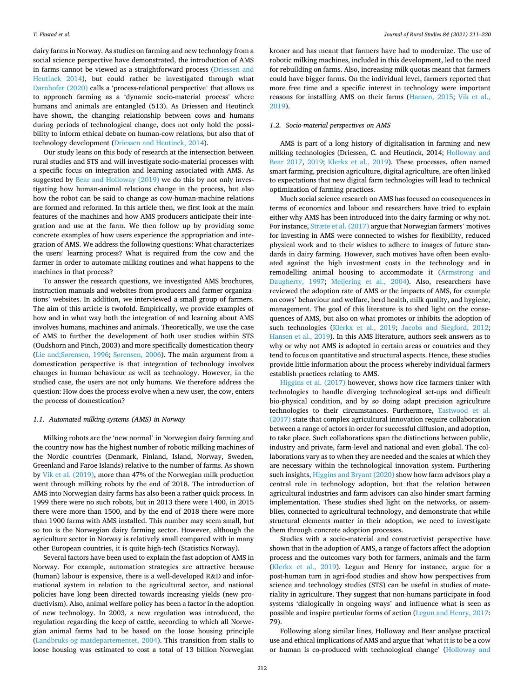dairy farms in Norway. As studies on farming and new technology from a social science perspective have demonstrated, the introduction of AMS in farms cannot be viewed as a straightforward process ([Driessen and](#page-9-0)  [Heutinck 2014](#page-9-0)), but could rather be investigated through what [Darnhofer \(2020\)](#page-9-0) calls a 'process-relational perspective' that allows us to approach farming as a 'dynamic socio-material process' where humans and animals are entangled (513). As Driessen and Heutinck have shown, the changing relationship between cows and humans during periods of technological change, does not only hold the possibility to inform ethical debate on human-cow relations, but also that of technology development ([Driessen and Heutinck, 2014](#page-9-0)).

Our study leans on this body of research at the intersection between rural studies and STS and will investigate socio-material processes with a specific focus on integration and learning associated with AMS. As suggested by [Bear and Holloway \(2019\)](#page-8-0) we do this by not only investigating how human-animal relations change in the process, but also how the robot can be said to change as cow-human-machine relations are formed and reformed. In this article then, we first look at the main features of the machines and how AMS producers anticipate their integration and use at the farm. We then follow up by providing some concrete examples of how users experience the appropriation and integration of AMS. We address the following questions: What characterizes the users' learning process? What is required from the cow and the farmer in order to automate milking routines and what happens to the machines in that process?

To answer the research questions, we investigated AMS brochures, instruction manuals and websites from producers and farmer organizations' websites. In addition, we interviewed a small group of farmers. The aim of this article is twofold. Empirically, we provide examples of how and in what way both the integration of and learning about AMS involves humans, machines and animals. Theoretically, we use the case of AMS to further the development of both user studies within STS (Oudshorn and Pinch, 2003) and more specifically domestication theory (Lie and;Sø[rensen, 1996;](#page-9-0) Sø[rensen, 2006](#page-9-0)). The main argument from a domestication perspective is that integration of technology involves changes in human behaviour as well as technology. However, in the studied case, the users are not only humans. We therefore address the question: How does the process evolve when a new user, the cow, enters the process of domestication?

#### *1.1. Automated milking systems (AMS) in Norway*

Milking robots are the 'new normal' in Norwegian dairy farming and the country now has the highest number of robotic milking machines of the Nordic countries (Denmark, Finland, Island, Norway, Sweden, Greenland and Faroe Islands) relative to the number of farms. As shown by [Vik et al. \(2019\),](#page-9-0) more than 47% of the Norwegian milk production went through milking robots by the end of 2018. The introduction of AMS into Norwegian dairy farms has also been a rather quick process. In 1999 there were no such robots, but in 2013 there were 1400, in 2015 there were more than 1500, and by the end of 2018 there were more than 1900 farms with AMS installed. This number may seem small, but so too is the Norwegian dairy farming sector. However, although the agriculture sector in Norway is relatively small compared with in many other European countries, it is quite high-tech (Statistics Norway).

Several factors have been used to explain the fast adoption of AMS in Norway. For example, automation strategies are attractive because (human) labour is expensive, there is a well-developed R&D and informational system in relation to the agricultural sector, and national policies have long been directed towards increasing yields (new productivism). Also, animal welfare policy has been a factor in the adoption of new technology. In 2003, a new regulation was introduced, the regulation regarding the keep of cattle, according to which all Norwegian animal farms had to be based on the loose housing principle ([Landbruks-og matdepartementet, 2004\)](#page-9-0). This transition from stalls to loose housing was estimated to cost a total of 13 billion Norwegian

kroner and has meant that farmers have had to modernize. The use of robotic milking machines, included in this development, led to the need for rebuilding on farms. Also, increasing milk quotas meant that farmers could have bigger farms. On the individual level, farmers reported that more free time and a specific interest in technology were important reasons for installing AMS on their farms [\(Hansen, 2015](#page-9-0); [Vik et al.,](#page-9-0)  [2019\)](#page-9-0).

## *1.2. Socio-material perspectives on AMS*

AMS is part of a long history of digitalisation in farming and new milking technologies (Driessen, C. and Heutinck, 2014; [Holloway and](#page-9-0)  [Bear 2017,](#page-9-0) [2019](#page-8-0); [Klerkx et al., 2019\)](#page-9-0). These processes, often named smart farming, precision agriculture, digital agriculture, are often linked to expectations that new digital farm technologies will lead to technical optimization of farming practices.

Much social science research on AMS has focused on consequences in terms of economics and labour and researchers have tried to explain either why AMS has been introduced into the dairy farming or why not. For instance, [Stræte et al. \(2017\)](#page-9-0) argue that Norwegian farmers' motives for investing in AMS were connected to wishes for flexibility, reduced physical work and to their wishes to adhere to images of future standards in dairy farming. However, such motives have often been evaluated against the high investment costs in the technology and in remodelling animal housing to accommodate it [\(Armstrong and](#page-8-0)  [Daugherty, 1997](#page-8-0); [Meijering et al., 2004](#page-9-0)). Also, researchers have reviewed the adoption rate of AMS or the impacts of AMS, for example on cows' behaviour and welfare, herd health, milk quality, and hygiene, management. The goal of this literature is to shed light on the consequences of AMS, but also on what promotes or inhibits the adoption of such technologies [\(Klerkx et al., 2019;](#page-9-0) [Jacobs and Siegford, 2012](#page-9-0); [Hansen et al., 2019](#page-9-0)). In this AMS literature, authors seek answers as to why or why not AMS is adopted in certain areas or countries and they tend to focus on quantitative and structural aspects. Hence, these studies provide little information about the process whereby individual farmers establish practices relating to AMS.

[Higgins et al. \(2017\)](#page-9-0) however, shows how rice farmers tinker with technologies to handle diverging technological set-ups and difficult bio-physical condition, and by so doing adapt precision agriculture technologies to their circumstances. Furthermore, [Eastwood et al.](#page-9-0)  [\(2017\)](#page-9-0) state that complex agricultural innovation require collaboration between a range of actors in order for successful diffusion, and adoption, to take place. Such collaborations span the distinctions between public, industry and private, farm-level and national and even global. The collaborations vary as to when they are needed and the scales at which they are necessary within the technological innovation system. Furthering such insights, [Higgins and Bryant \(2020\)](#page-9-0) show how farm advisors play a central role in technology adoption, but that the relation between agricultural industries and farm advisors can also hinder smart farming implementation. These studies shed light on the networks, or assemblies, connected to agricultural technology, and demonstrate that while structural elements matter in their adoption, we need to investigate them through concrete adoption processes.

Studies with a socio-material and constructivist perspective have shown that in the adoption of AMS, a range of factors affect the adoption process and the outcomes vary both for farmers, animals and the farm ([Klerkx et al., 2019](#page-9-0)). Legun and Henry for instance, argue for a post-human turn in agri-food studies and show how perspectives from science and technology studies (STS) can be useful in studies of materiality in agriculture. They suggest that non-humans participate in food systems 'dialogically in ongoing ways' and influence what is seen as possible and inspire particular forms of action ([Legun and Henry, 2017](#page-9-0): 79).

Following along similar lines, Holloway and Bear analyse practical use and ethical implications of AMS and argue that 'what it is to be a cow or human is co-produced with technological change' [\(Holloway and](#page-9-0)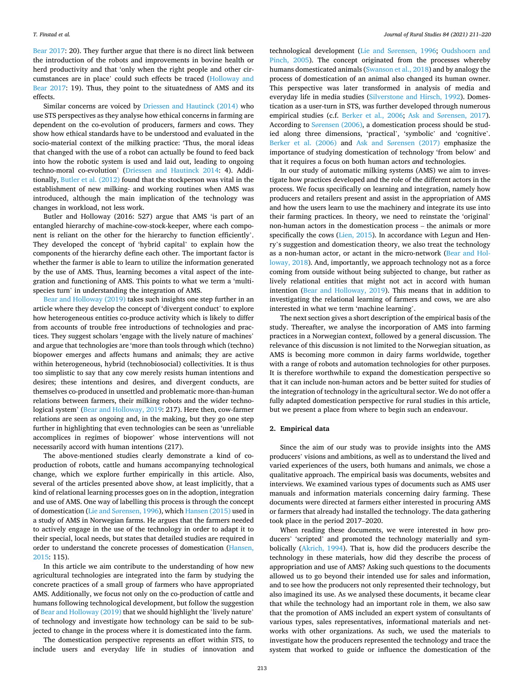[Bear 2017:](#page-9-0) 20). They further argue that there is no direct link between the introduction of the robots and improvements in bovine health or herd productivity and that 'only when the right people and other circumstances are in place' could such effects be traced [\(Holloway and](#page-9-0)  [Bear 2017:](#page-9-0) 19). Thus, they point to the situatedness of AMS and its effects.

Similar concerns are voiced by [Driessen and Hautinck \(2014\)](#page-9-0) who use STS perspectives as they analyse how ethical concerns in farming are dependent on the co-evolution of producers, farmers and cows. They show how ethical standards have to be understood and evaluated in the socio-material context of the milking practice: 'Thus, the moral ideas that changed with the use of a robot can actually be found to feed back into how the robotic system is used and laid out, leading to ongoing techno-moral co-evolution' ([Driessen and Hautinck 2014:](#page-9-0) 4). Additionally, [Butler et al. \(2012\)](#page-9-0) found that the stockperson was vital in the establishment of new milking- and working routines when AMS was introduced, although the main implication of the technology was changes in workload, not less work.

Butler and Holloway (2016: 527) argue that AMS 'is part of an entangled hierarchy of machine-cow-stock-keeper, where each component is reliant on the other for the hierarchy to function efficiently'. They developed the concept of 'hybrid capital' to explain how the components of the hierarchy define each other. The important factor is whether the farmer is able to learn to utilize the information generated by the use of AMS. Thus, learning becomes a vital aspect of the integration and functioning of AMS. This points to what we term a 'multispecies turn' in understanding the integration of AMS.

[Bear and Holloway \(2019\)](#page-8-0) takes such insights one step further in an article where they develop the concept of 'divergent conduct' to explore how heterogeneous entities co-produce activity which is likely to differ from accounts of trouble free introductions of technologies and practices. They suggest scholars 'engage with the lively nature of machines' and argue that technologies are 'more than tools through which (techno) biopower emerges and affects humans and animals; they are active within heterogeneous, hybrid (technobiosocial) collectivities. It is thus too simplistic to say that any cow merely resists human intentions and desires; these intentions and desires, and divergent conducts, are themselves co-produced in unsettled and problematic more-than-human relations between farmers, their milking robots and the wider technological system' ([Bear and Holloway, 2019](#page-8-0): 217). Here then, cow-farmer relations are seen as ongoing and, in the making, but they go one step further in highlighting that even technologies can be seen as 'unreliable accomplices in regimes of biopower' whose interventions will not necessarily accord with human intentions (217).

The above-mentioned studies clearly demonstrate a kind of coproduction of robots, cattle and humans accompanying technological change, which we explore further empirically in this article. Also, several of the articles presented above show, at least implicitly, that a kind of relational learning processes goes on in the adoption, integration and use of AMS. One way of labelling this process is through the concept of domestication (Lie and Sø[rensen, 1996\)](#page-9-0), which [Hansen \(2015\)](#page-9-0) used in a study of AMS in Norwegian farms. He argues that the farmers needed to actively engage in the use of the technology in order to adapt it to their special, local needs, but states that detailed studies are required in order to understand the concrete processes of domestication [\(Hansen,](#page-9-0)  [2015:](#page-9-0) 115).

In this article we aim contribute to the understanding of how new agricultural technologies are integrated into the farm by studying the concrete practices of a small group of farmers who have appropriated AMS. Additionally, we focus not only on the co-production of cattle and humans following technological development, but follow the suggestion of [Bear and Holloway \(2019\)](#page-8-0) that we should highlight the 'lively nature' of technology and investigate how technology can be said to be subjected to change in the process where it is domesticated into the farm.

The domestication perspective represents an effort within STS, to include users and everyday life in studies of innovation and

technological development (Lie and Sø[rensen, 1996](#page-9-0); [Oudshoorn and](#page-9-0)  [Pinch, 2005](#page-9-0)). The concept originated from the processes whereby humans domesticated animals [\(Swanson et al., 2018\)](#page-9-0) and by analogy the process of domestication of an animal also changed its human owner. This perspective was later transformed in analysis of media and everyday life in media studies ([Silverstone and Hirsch, 1992](#page-9-0)). Domestication as a user-turn in STS, was further developed through numerous empirical studies (c.f. [Berker et al., 2006](#page-8-0); Ask and Sø[rensen, 2017](#page-8-0)). According to Sø[rensen \(2006\)](#page-9-0), a domestication process should be studied along three dimensions, 'practical', 'symbolic' and 'cognitive'. [Berker et al. \(2006\)](#page-8-0) and Ask and Sø[rensen \(2017\)](#page-8-0) emphasize the importance of studying domestication of technology 'from below' and that it requires a focus on both human actors *and* technologies.

In our study of automatic milking systems (AMS) we aim to investigate how practices developed and the role of the different actors in the process. We focus specifically on learning and integration, namely how producers and retailers present and assist in the appropriation of AMS and how the users learn to use the machinery and integrate its use into their farming practices. In theory, we need to reinstate the 'original' non-human actors in the domestication process – the animals or more specifically the cows [\(Lien, 2015](#page-9-0)). In accordance with Legun and Henry's suggestion and domestication theory, we also treat the technology as a non-human actor, or actant in the micro-network ([Bear and Hol](#page-8-0)[loway, 2018](#page-8-0)). And, importantly, we approach technology not as a force coming from outside without being subjected to change, but rather as lively relational entities that might not act in accord with human intention ([Bear and Holloway, 2019\)](#page-8-0). This means that in addition to investigating the relational learning of farmers and cows, we are also interested in what we term 'machine learning'.

The next section gives a short description of the empirical basis of the study. Thereafter, we analyse the incorporation of AMS into farming practices in a Norwegian context, followed by a general discussion. The relevance of this discussion is not limited to the Norwegian situation, as AMS is becoming more common in dairy farms worldwide, together with a range of robots and automation technologies for other purposes. It is therefore worthwhile to expand the domestication perspective so that it can include non-human actors and be better suited for studies of the integration of technology in the agricultural sector. We do not offer a fully adapted domestication perspective for rural studies in this article, but we present a place from where to begin such an endeavour.

## **2. Empirical data**

Since the aim of our study was to provide insights into the AMS producers' visions and ambitions, as well as to understand the lived and varied experiences of the users, both humans and animals, we chose a qualitative approach. The empirical basis was documents, websites and interviews. We examined various types of documents such as AMS user manuals and information materials concerning dairy farming. These documents were directed at farmers either interested in procuring AMS or farmers that already had installed the technology. The data gathering took place in the period 2017–2020.

When reading these documents, we were interested in how producers' 'scripted' and promoted the technology materially and symbolically [\(Akrich, 1994\)](#page-8-0). That is, how did the producers describe the technology in these materials, how did they describe the process of appropriation and use of AMS? Asking such questions to the documents allowed us to go beyond their intended use for sales and information, and to see how the producers not only represented their technology, but also imagined its use. As we analysed these documents, it became clear that while the technology had an important role in them, we also saw that the promotion of AMS included an expert system of consultants of various types, sales representatives, informational materials and networks with other organizations. As such, we used the materials to investigate how the producers represented the technology and trace the system that worked to guide or influence the domestication of the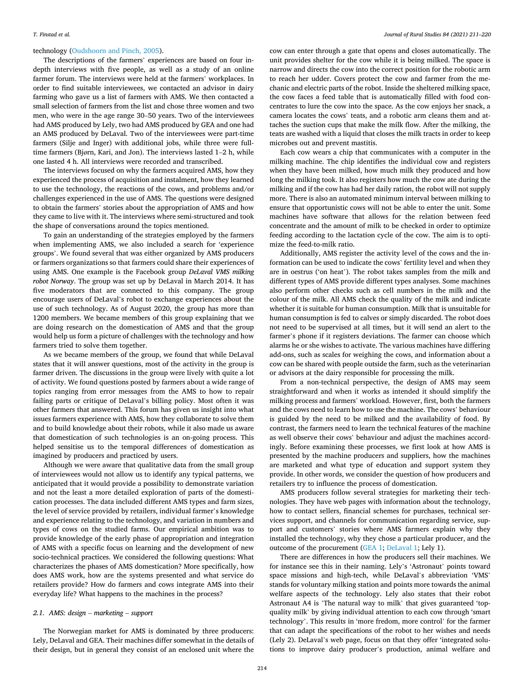#### technology ([Oudshoorn and Pinch, 2005](#page-9-0)).

The descriptions of the farmers' experiences are based on four indepth interviews with five people, as well as a study of an online farmer forum. The interviews were held at the farmers' workplaces. In order to find suitable interviewees, we contacted an advisor in dairy farming who gave us a list of farmers with AMS. We then contacted a small selection of farmers from the list and chose three women and two men, who were in the age range 30–50 years. Two of the interviewees had AMS produced by Lely, two had AMS produced by GEA and one had an AMS produced by DeLaval. Two of the interviewees were part-time farmers (Silje and Inger) with additional jobs, while three were fulltime farmers (Bjørn, Kari, and Jon). The interviews lasted 1–2 h, while one lasted 4 h. All interviews were recorded and transcribed.

The interviews focused on why the farmers acquired AMS, how they experienced the process of acquisition and instalment, how they learned to use the technology, the reactions of the cows, and problems and/or challenges experienced in the use of AMS. The questions were designed to obtain the farmers' stories about the appropriation of AMS and how they came to live with it. The interviews where semi-structured and took the shape of conversations around the topics mentioned.

To gain an understanding of the strategies employed by the farmers when implementing AMS, we also included a search for 'experience groups'. We found several that was either organized by AMS producers or farmers organizations so that farmers could share their experiences of using AMS. One example is the Facebook group *DeLaval VMS milking robot Norway*. The group was set up by DeLaval in March 2014. It has five moderators that are connected to this company. The group encourage users of DeLaval's robot to exchange experiences about the use of such technology. As of August 2020, the group has more than 1200 members. We became members of this group explaining that we are doing research on the domestication of AMS and that the group would help us form a picture of challenges with the technology and how farmers tried to solve them together.

As we became members of the group, we found that while DeLaval states that it will answer questions, most of the activity in the group is farmer driven. The discussions in the group were lively with quite a lot of activity. We found questions posted by farmers about a wide range of topics ranging from error messages from the AMS to how to repair failing parts or critique of DeLaval's billing policy. Most often it was other farmers that answered. This forum has given us insight into what issues farmers experience with AMS, how they collaborate to solve them and to build knowledge about their robots, while it also made us aware that domestication of such technologies is an on-going process. This helped sensitise us to the temporal differences of domestication as imagined by producers and practiced by users.

Although we were aware that qualitative data from the small group of interviewees would not allow us to identify any typical patterns, we anticipated that it would provide a possibility to demonstrate variation and not the least a more detailed exploration of parts of the domestication processes. The data included different AMS types and farm sizes, the level of service provided by retailers, individual farmer's knowledge and experience relating to the technology, and variation in numbers and types of cows on the studied farms. Our empirical ambition was to provide knowledge of the early phase of appropriation and integration of AMS with a specific focus on learning and the development of new socio-technical practices. We considered the following questions: What characterizes the phases of AMS domestication? More specifically, how does AMS work, how are the systems presented and what service do retailers provide? How do farmers and cows integrate AMS into their everyday life? What happens to the machines in the process?

#### *2.1. AMS: design* – *marketing* – *support*

The Norwegian market for AMS is dominated by three producers: Lely, DeLaval and GEA. Their machines differ somewhat in the details of their design, but in general they consist of an enclosed unit where the

cow can enter through a gate that opens and closes automatically. The unit provides shelter for the cow while it is being milked. The space is narrow and directs the cow into the correct position for the robotic arm to reach her udder. Covers protect the cow and farmer from the mechanic and electric parts of the robot. Inside the sheltered milking space, the cow faces a feed table that is automatically filled with food concentrates to lure the cow into the space. As the cow enjoys her snack, a camera locates the cows' teats, and a robotic arm cleans them and attaches the suction cups that make the milk flow. After the milking, the teats are washed with a liquid that closes the milk tracts in order to keep microbes out and prevent mastitis.

Each cow wears a chip that communicates with a computer in the milking machine. The chip identifies the individual cow and registers when they have been milked, how much milk they produced and how long the milking took. It also registers how much the cow ate during the milking and if the cow has had her daily ration, the robot will not supply more. There is also an automated minimum interval between milking to ensure that opportunistic cows will not be able to enter the unit. Some machines have software that allows for the relation between feed concentrate and the amount of milk to be checked in order to optimize feeding according to the lactation cycle of the cow. The aim is to optimize the feed-to-milk ratio.

Additionally, AMS register the activity level of the cows and the information can be used to indicate the cows' fertility level and when they are in oestrus ('on heat'). The robot takes samples from the milk and different types of AMS provide different types analyses. Some machines also perform other checks such as cell numbers in the milk and the colour of the milk. All AMS check the quality of the milk and indicate whether it is suitable for human consumption. Milk that is unsuitable for human consumption is fed to calves or simply discarded. The robot does not need to be supervised at all times, but it will send an alert to the farmer's phone if it registers deviations. The farmer can choose which alarms he or she wishes to activate. The various machines have differing add-ons, such as scales for weighing the cows, and information about a cow can be shared with people outside the farm, such as the veterinarian or advisors at the dairy responsible for processing the milk.

From a non-technical perspective, the design of AMS may seem straightforward and when it works as intended it should simplify the milking process and farmers' workload. However, first, both the farmers and the cows need to learn how to use the machine. The cows' behaviour is guided by the need to be milked and the availability of food. By contrast, the farmers need to learn the technical features of the machine as well observe their cows' behaviour and adjust the machines accordingly. Before examining these processes, we first look at how AMS is presented by the machine producers and suppliers, how the machines are marketed and what type of education and support system they provide. In other words, we consider the question of how producers and retailers try to influence the process of domestication.

AMS producers follow several strategies for marketing their technologies. They have web pages with information about the technology, how to contact sellers, financial schemes for purchases, technical services support, and channels for communication regarding service, support and customers' stories where AMS farmers explain why they installed the technology, why they chose a particular producer, and the outcome of the procurement ([GEA 1](#page-9-0); [DeLaval 1;](#page-9-0) Lely 1).

There are differences in how the producers sell their machines. We for instance see this in their naming. Lely's 'Astronaut' points toward space missions and high-tech, while DeLaval's abbreviation 'VMS' stands for voluntary milking station and points more towards the animal welfare aspects of the technology. Lely also states that their robot Astronaut A4 is 'The natural way to milk' that gives guaranteed 'topquality milk' by giving individual attention to each cow through 'smart technology'. This results in 'more fredom, more control' for the farmer that can adapt the specifications of the robot to her wishes and needs (Lely 2). DeLaval's web page, focus on that they offer 'integrated solutions to improve dairy producer's production, animal welfare and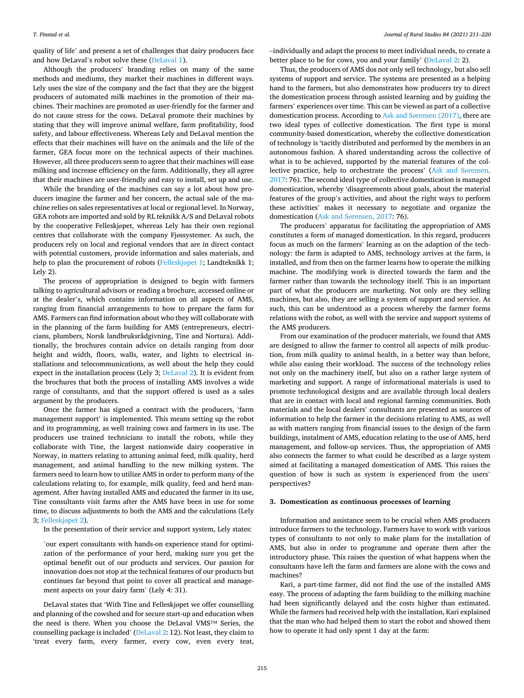quality of life' and present a set of challenges that dairy producers face and how DeLaval's robot solve these ([DeLaval 1\)](#page-9-0).

Although the producers' branding relies on many of the same methods and mediums, they market their machines in different ways. Lely uses the size of the company and the fact that they are the biggest producers of automated milk machines in the promotion of their machines. Their machines are promoted as user-friendly for the farmer and do not cause stress for the cows. DeLaval promote their machines by stating that they will improve animal welfare, farm profitability, food safety, and labour effectiveness. Whereas Lely and DeLaval mention the effects that their machines will have on the animals and the life of the farmer, GEA focus more on the technical aspects of their machines. However, all three producers seem to agree that their machines will ease milking and increase efficiency on the farm. Additionally, they all agree that their machines are user-friendly and easy to install, set up and use.

While the branding of the machines can say a lot about how producers imagine the farmer and her concern, the actual sale of the machine relies on sales representatives at local or regional level. In Norway, GEA robots are imported and sold by RL teknikk A/S and DeLaval robots by the cooperative Felleskjøpet, whereas Lely has their own regional centres that collaborate with the company Fjøssystemer. As such, the producers rely on local and regional vendors that are in direct contact with potential customers, provide information and sales materials, and help to plan the procurement of robots [\(Felleskj](#page-9-0)øpet 1; Landteknikk 1; Lely 2).

The process of appropriation is designed to begin with farmers talking to agricultural advisors or reading a brochure, accessed online or at the dealer's, which contains information on all aspects of AMS, ranging from financial arrangements to how to prepare the farm for AMS. Farmers can find information about who they will collaborate with in the planning of the farm building for AMS (entrepreneurs, electricians, plumbers, Norsk landbruksrådgivning, Tine and Nortura). Additionally, the brochures contain advice on details ranging from door height and width, floors, walls, water, and lights to electrical installations and telecommunications, as well about the help they could expect in the installation process (Lely 3; [DeLaval 2](#page-9-0)). It is evident from the brochures that both the process of installing AMS involves a wide range of consultants, and that the support offered is used as a sales argument by the producers.

Once the farmer has signed a contract with the producers, 'farm management support' is implemented. This means setting up the robot and its programming, as well training cows and farmers in its use. The producers use trained technicians to install the robots, while they collaborate with Tine, the largest nationwide dairy cooperative in Norway, in matters relating to attuning animal feed, milk quality, herd management, and animal handling to the new milking system. The farmers need to learn how to utilize AMS in order to perform many of the calculations relating to, for example, milk quality, feed and herd management. After having installed AMS and educated the farmer in its use, Tine consultants visit farms after the AMS have been in use for some time, to discuss adjustments to both the AMS and the calculations (Lely 3; [Felleskj](#page-9-0)øpet 2).

In the presentation of their service and support system, Lely states:

'our expert consultants with hands-on experience stand for optimization of the performance of your herd, making sure you get the optimal benefit out of our products and services. Our passion for innovation does not stop at the technical features of our products but continues far beyond that point to cover all practical and management aspects on your dairy farm' (Lely 4: 31).

DeLaval states that 'With Tine and Felleskjøpet we offer counselling and planning of the cowshed and for secure start-up and education when the need is there. When you choose the DeLaval VMS™ Series, the counselling package is included' ([DeLaval 2](#page-9-0): 12). Not least, they claim to 'treat every farm, every farmer, every cow, even every teat,

–individually and adapt the process to meet individual needs, to create a better place to be for cows, you and your family' [\(DeLaval 2:](#page-9-0) 2).

Thus, the producers of AMS dos not only sell technology, but also sell systems of support and service. The systems are presented as a helping hand to the farmers, but also demonstrates how producers try to direct the domestication process through assisted learning and by guiding the farmers' experiences over time. This can be viewed as part of a collective domestication process. According to Ask and Sø[rensen \(2017\)](#page-8-0), there are two ideal types of collective domestication. The first type is moral community-based domestication, whereby the collective domestication of technology is 'tacitly distributed and performed by the members in an autonomous fashion. A shared understanding across the collective of what is to be achieved, supported by the material features of the collective practice, help to orchestrate the process' ([Ask and S](#page-8-0)ørensen, [2017:](#page-8-0) 76). The second ideal type of collective domestication is managed domestication, whereby 'disagreements about goals, about the material features of the group's activities, and about the right ways to perform these activities' makes it necessary to negotiate and organize the domestication (Ask and Sø[rensen, 2017](#page-8-0): 76).

The producers' apparatus for facilitating the appropriation of AMS constitutes a form of managed domestication. In this regard, producers focus as much on the farmers' learning as on the adaption of the technology: the farm is adapted to AMS, technology arrives at the farm, is installed, and from then on the farmer learns how to operate the milking machine. The modifying work is directed towards the farm and the farmer rather than towards the technology itself. This is an important part of what the producers are marketing. Not only are they selling machines, but also, they are selling a system of support and service. As such, this can be understood as a process whereby the farmer forms relations with the robot, as well with the service and support systems of the AMS producers.

From our examination of the producer materials, we found that AMS are designed to allow the farmer to control all aspects of milk production, from milk quality to animal health, in a better way than before, while also easing their workload. The success of the technology relies not only on the machinery itself, but also on a rather large system of marketing and support. A range of informational materials is used to promote technological designs and are available through local dealers that are in contact with local and regional farming communities. Both materials and the local dealers' consultants are presented as sources of information to help the farmer in the decisions relating to AMS, as well as with matters ranging from financial issues to the design of the farm buildings, instalment of AMS, education relating to the use of AMS, herd management, and follow-up services. Thus, the appropriation of AMS also connects the farmer to what could be described as a large system aimed at facilitating a managed domestication of AMS. This raises the question of how is such as system is experienced from the users' perspectives?

#### **3. Domestication as continuous processes of learning**

Information and assistance seem to be crucial when AMS producers introduce farmers to the technology. Farmers have to work with various types of consultants to not only to make plans for the installation of AMS, but also in order to programme and operate them after the introductory phase. This raises the question of what happens when the consultants have left the farm and farmers are alone with the cows and machines?

Kari, a part-time farmer, did not find the use of the installed AMS easy. The process of adapting the farm building to the milking machine had been significantly delayed and the costs higher than estimated. While the farmers had received help with the installation, Kari explained that the man who had helped them to start the robot and showed them how to operate it had only spent 1 day at the farm: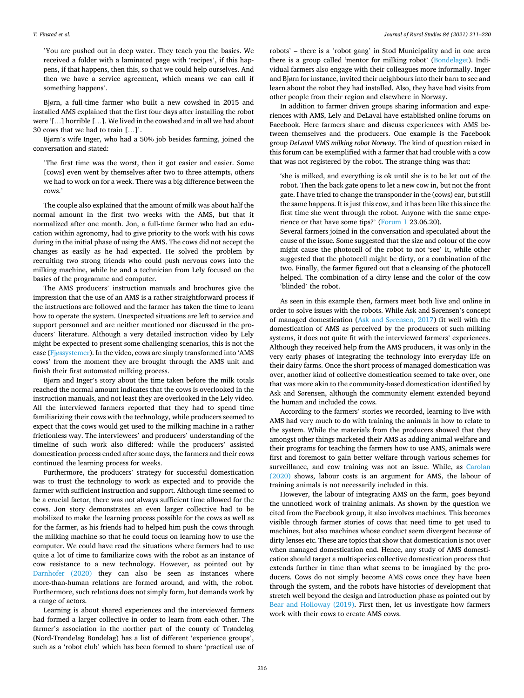#### *T. Finstad et al.*

'You are pushed out in deep water. They teach you the basics. We received a folder with a laminated page with 'recipes', if this happens, if that happens, then this, so that we could help ourselves. And then we have a service agreement, which means we can call if something happens'.

Bjørn, a full-time farmer who built a new cowshed in 2015 and installed AMS explained that the first four days after installing the robot were '[…] horrible […]. We lived in the cowshed and in all we had about 30 cows that we had to train […]'.

Bjørn's wife Inger, who had a 50% job besides farming, joined the conversation and stated:

'The first time was the worst, then it got easier and easier. Some [cows] even went by themselves after two to three attempts, others we had to work on for a week. There was a big difference between the cows.'

The couple also explained that the amount of milk was about half the normal amount in the first two weeks with the AMS, but that it normalized after one month. Jon, a full-time farmer who had an education within agronomy, had to give priority to the work with his cows during in the initial phase of using the AMS. The cows did not accept the changes as easily as he had expected. He solved the problem by recruiting two strong friends who could push nervous cows into the milking machine, while he and a technician from Lely focused on the basics of the programme and computer.

The AMS producers' instruction manuals and brochures give the impression that the use of an AMS is a rather straightforward process if the instructions are followed and the farmer has taken the time to learn how to operate the system. Unexpected situations are left to service and support personnel and are neither mentioned nor discussed in the producers' literature. Although a very detailed instruction video by Lely might be expected to present some challenging scenarios, this is not the case (Fjø[ssystemer\)](#page-9-0). In the video, cows are simply transformed into 'AMS cows' from the moment they are brought through the AMS unit and finish their first automated milking process.

Bjørn and Inger's story about the time taken before the milk totals reached the normal amount indicates that the cows is overlooked in the instruction manuals, and not least they are overlooked in the Lely video. All the interviewed farmers reported that they had to spend time familiarizing their cows with the technology, while producers seemed to expect that the cows would get used to the milking machine in a rather frictionless way. The interviewees' and producers' understanding of the timeline of such work also differed: while the producers' assisted domestication process ended after some days, the farmers and their cows continued the learning process for weeks.

Furthermore, the producers' strategy for successful domestication was to trust the technology to work as expected and to provide the farmer with sufficient instruction and support. Although time seemed to be a crucial factor, there was not always sufficient time allowed for the cows. Jon story demonstrates an even larger collective had to be mobilized to make the learning process possible for the cows as well as for the farmer, as his friends had to helped him push the cows through the milking machine so that he could focus on learning how to use the computer. We could have read the situations where farmers had to use quite a lot of time to familiarize cows with the robot as an instance of cow resistance to a new technology. However, as pointed out by [Darnhofer \(2020\)](#page-9-0) they can also be seen as instances where more-than-human relations are formed around, and with, the robot. Furthermore, such relations does not simply form, but demands work by a range of actors.

Learning is about shared experiences and the interviewed farmers had formed a larger collective in order to learn from each other. The farmer's association in the norther part of the county of Trøndelag (Nord-Trøndelag Bondelag) has a list of different 'experience groups', such as a 'robot club' which has been formed to share 'practical use of robots' – there is a 'robot gang' in Stod Municipality and in one area there is a group called 'mentor for milking robot' [\(Bondelaget\)](#page-9-0). Individual farmers also engage with their colleagues more informally. Inger and Bjørn for instance, invited their neighbours into their barn to see and learn about the robot they had installed. Also, they have had visits from other people from their region and elsewhere in Norway.

In addition to farmer driven groups sharing information and experiences with AMS, Lely and DeLaval have established online forums on Facebook. Here farmers share and discuss experiences with AMS between themselves and the producers. One example is the Facebook group *DeLaval VMS milking robot Norway.* The kind of question raised in this forum can be exemplified with a farmer that had trouble with a cow that was not registered by the robot. The strange thing was that:

'she is milked, and everything is ok until she is to be let out of the robot. Then the back gate opens to let a new cow in, but not the front gate. I have tried to change the transponder in the (cows) ear, but still the same happens. It is just this cow, and it has been like this since the first time she went through the robot. Anyone with the same experience or that have some tips?' [\(Forum 1](#page-9-0) 23.06.20).

Several farmers joined in the conversation and speculated about the cause of the issue. Some suggested that the size and colour of the cow might cause the photocell of the robot to not 'see' it, while other suggested that the photocell might be dirty, or a combination of the two. Finally, the farmer figured out that a cleansing of the photocell helped. The combination of a dirty lense and the color of the cow 'blinded' the robot.

As seen in this example then, farmers meet both live and online in order to solve issues with the robots. While Ask and Sørensen's concept of managed domestication (Ask and Sø[rensen, 2017](#page-8-0)) fit well with the domestication of AMS as perceived by the producers of such milking systems, it does not quite fit with the interviewed farmers' experiences. Although they received help from the AMS producers, it was only in the very early phases of integrating the technology into everyday life on their dairy farms. Once the short process of managed domestication was over, another kind of collective domestication seemed to take over, one that was more akin to the community-based domestication identified by Ask and Sørensen, although the community element extended beyond the human and included the cows.

According to the farmers' stories we recorded, learning to live with AMS had very much to do with training the animals in how to relate to the system. While the materials from the producers showed that they amongst other things marketed their AMS as adding animal welfare and their programs for teaching the farmers how to use AMS, animals were first and foremost to gain better welfare through various schemes for surveillance, and cow training was not an issue. While, as [Carolan](#page-9-0)  [\(2020\)](#page-9-0) shows, labour costs is an argument for AMS, the labour of training animals is not necessarily included in this.

However, the labour of integrating AMS on the farm, goes beyond the unnoticed work of training animals. As shown by the question we cited from the Facebook group, it also involves machines. This becomes visible through farmer stories of cows that need time to get used to machines, but also machines whose conduct seem divergent because of dirty lenses etc. These are topics that show that domestication is not over when managed domestication end. Hence, any study of AMS domestication should target a multispecies collective domestication process that extends further in time than what seems to be imagined by the producers. Cows do not simply become AMS cows once they have been through the system, and the robots have histories of development that stretch well beyond the design and introduction phase as pointed out by [Bear and Holloway \(2019\).](#page-8-0) First then, let us investigate how farmers work with their cows to create AMS cows.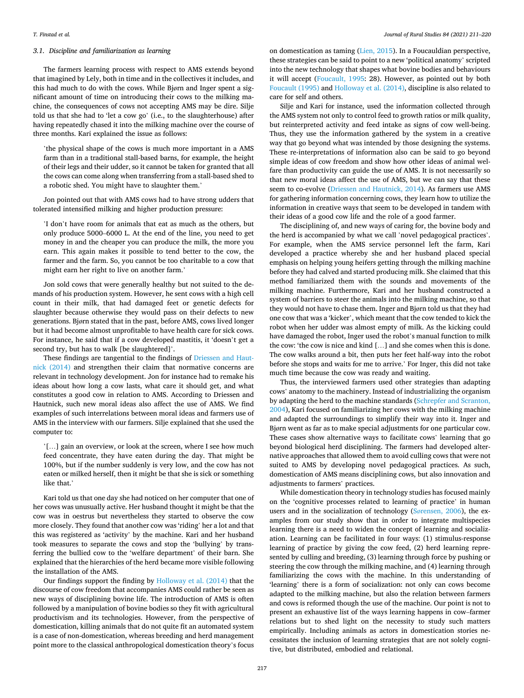## *3.1. Discipline and familiarization as learning*

The farmers learning process with respect to AMS extends beyond that imagined by Lely, both in time and in the collectives it includes, and this had much to do with the cows. While Bjørn and Inger spent a significant amount of time on introducing their cows to the milking machine, the consequences of cows not accepting AMS may be dire. Silje told us that she had to 'let a cow go' (i.e., to the slaughterhouse) after having repeatedly chased it into the milking machine over the course of three months. Kari explained the issue as follows:

'the physical shape of the cows is much more important in a AMS farm than in a traditional stall-based barns, for example, the height of their legs and their udder, so it cannot be taken for granted that all the cows can come along when transferring from a stall-based shed to a robotic shed. You might have to slaughter them.'

Jon pointed out that with AMS cows had to have strong udders that tolerated intensified milking and higher production pressure:

'I don't have room for animals that eat as much as the others, but only produce 5000–6000 L. At the end of the line, you need to get money in and the cheaper you can produce the milk, the more you earn. This again makes it possible to tend better to the cow, the farmer and the farm. So, you cannot be too charitable to a cow that might earn her right to live on another farm.'

Jon sold cows that were generally healthy but not suited to the demands of his production system. However, he sent cows with a high cell count in their milk, that had damaged feet or genetic defects for slaughter because otherwise they would pass on their defects to new generations. Bjørn stated that in the past, before AMS, cows lived longer but it had become almost unprofitable to have health care for sick cows. For instance, he said that if a cow developed mastitis, it 'doesn't get a second try, but has to walk [be slaughtered]'.

These findings are tangential to the findings of [Driessen and Haut](#page-9-0)[nick \(2014\)](#page-9-0) and strengthen their claim that normative concerns are relevant in technology development. Jon for instance had to remake his ideas about how long a cow lasts, what care it should get, and what constitutes a good cow in relation to AMS. According to Driessen and Hautnick, such new moral ideas also affect the use of AMS. We find examples of such interrelations between moral ideas and farmers use of AMS in the interview with our farmers. Silje explained that she used the computer to:

'[…] gain an overview, or look at the screen, where I see how much feed concentrate, they have eaten during the day. That might be 100%, but if the number suddenly is very low, and the cow has not eaten or milked herself, then it might be that she is sick or something like that.'

Kari told us that one day she had noticed on her computer that one of her cows was unusually active. Her husband thought it might be that the cow was in oestrus but nevertheless they started to observe the cow more closely. They found that another cow was 'riding' her a lot and that this was registered as 'activity' by the machine. Kari and her husband took measures to separate the cows and stop the 'bullying' by transferring the bullied cow to the 'welfare department' of their barn. She explained that the hierarchies of the herd became more visible following the installation of the AMS.

Our findings support the finding by [Holloway et al. \(2014\)](#page-9-0) that the discourse of cow freedom that accompanies AMS could rather be seen as new ways of disciplining bovine life. The introduction of AMS is often followed by a manipulation of bovine bodies so they fit with agricultural productivism and its technologies. However, from the perspective of domestication, killing animals that do not quite fit an automated system is a case of non-domestication, whereas breeding and herd management point more to the classical anthropological domestication theory's focus

on domestication as taming [\(Lien, 2015\)](#page-9-0). In a Foucauldian perspective, these strategies can be said to point to a new 'political anatomy' scripted into the new technology that shapes what bovine bodies and behaviours it will accept [\(Foucault, 1995](#page-9-0): 28). However, as pointed out by both [Foucault \(1995\)](#page-9-0) and [Holloway et al. \(2014\),](#page-9-0) discipline is also related to care for self and others.

Silje and Kari for instance, used the information collected through the AMS system not only to control feed to growth ratios or milk quality, but reinterpreted activity and feed intake as signs of cow well-being. Thus, they use the information gathered by the system in a creative way that go beyond what was intended by those designing the systems. These re-interpretations of information also can be said to go beyond simple ideas of cow freedom and show how other ideas of animal welfare than productivity can guide the use of AMS. It is not necessarily so that new moral ideas affect the use of AMS, but we can say that these seem to co-evolve ([Driessen and Hautnick, 2014\)](#page-9-0). As farmers use AMS for gathering information concerning cows, they learn how to utilize the information in creative ways that seem to be developed in tandem with their ideas of a good cow life and the role of a good farmer.

The disciplining of, and new ways of caring for, the bovine body and the herd is accompanied by what we call 'novel pedagogical practices'. For example, when the AMS service personnel left the farm, Kari developed a practice whereby she and her husband placed special emphasis on helping young heifers getting through the milking machine before they had calved and started producing milk. She claimed that this method familiarized them with the sounds and movements of the milking machine. Furthermore, Kari and her husband constructed a system of barriers to steer the animals into the milking machine, so that they would not have to chase them. Inger and Bjørn told us that they had one cow that was a 'kicker', which meant that the cow tended to kick the robot when her udder was almost empty of milk. As the kicking could have damaged the robot, Inger used the robot's manual function to milk the cow: 'the cow is nice and kind […] and she comes when this is done. The cow walks around a bit, then puts her feet half-way into the robot before she stops and waits for me to arrive.' For Inger, this did not take much time because the cow was ready and waiting.

Thus, the interviewed farmers used other strategies than adapting cows' anatomy to the machinery. Instead of industrializing the organism by adapting the herd to the machine standards ([Schrepfer and Scranton,](#page-9-0)  [2004\)](#page-9-0), Kari focused on familiarizing her cows with the milking machine and adapted the surroundings to simplify their way into it. Inger and Bjørn went as far as to make special adjustments for one particular cow. These cases show alternative ways to facilitate cows' learning that go beyond biological herd disciplining. The farmers had developed alternative approaches that allowed them to avoid culling cows that were not suited to AMS by developing novel pedagogical practices. As such, domestication of AMS means disciplining cows, but also innovation and adjustments to farmers' practices.

While domestication theory in technology studies has focused mainly on the 'cognitive processes related to learning of practice' in human users and in the socialization of technology (Sø[rensen, 2006\)](#page-9-0), the examples from our study show that in order to integrate multispecies learning there is a need to widen the concept of learning and socialization. Learning can be facilitated in four ways: (1) stimulus-response learning of practice by giving the cow feed, (2) herd learning represented by culling and breeding, (3) learning through force by pushing or steering the cow through the milking machine, and (4) learning through familiarizing the cows with the machine. In this understanding of 'learning' there is a form of socialization: not only can cows become adapted to the milking machine, but also the relation between farmers and cows is reformed though the use of the machine. Our point is not to present an exhaustive list of the ways learning happens in cow–farmer relations but to shed light on the necessity to study such matters empirically. Including animals as actors in domestication stories necessitates the inclusion of learning strategies that are not solely cognitive, but distributed, embodied and relational.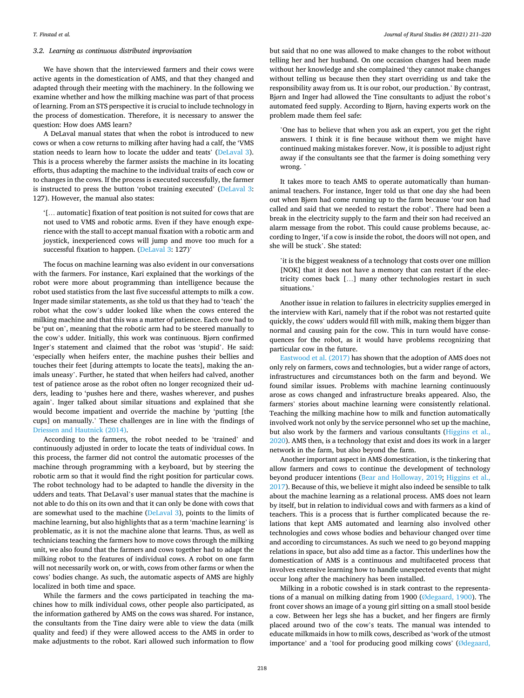#### *3.2. Learning as continuous distributed improvisation*

We have shown that the interviewed farmers and their cows were active agents in the domestication of AMS, and that they changed and adapted through their meeting with the machinery. In the following we examine whether and how the milking machine was part of that process of learning. From an STS perspective it is crucial to include technology in the process of domestication. Therefore, it is necessary to answer the question: How does AMS learn?

A DeLaval manual states that when the robot is introduced to new cows or when a cow returns to milking after having had a calf, the 'VMS station needs to learn how to locate the udder and teats' ([DeLaval 3](#page-9-0)). This is a process whereby the farmer assists the machine in its locating efforts, thus adapting the machine to the individual traits of each cow or to changes in the cows. If the process is executed successfully, the farmer is instructed to press the button 'robot training executed' ([DeLaval 3](#page-9-0): 127). However, the manual also states:

'[… automatic] fixation of teat position is not suited for cows that are not used to VMS and robotic arms. Even if they have enough experience with the stall to accept manual fixation with a robotic arm and joystick, inexperienced cows will jump and move too much for a successful fixation to happen. [\(DeLaval 3:](#page-9-0) 127)'

The focus on machine learning was also evident in our conversations with the farmers. For instance, Kari explained that the workings of the robot were more about programming than intelligence because the robot used statistics from the last five successful attempts to milk a cow. Inger made similar statements, as she told us that they had to 'teach' the robot what the cow's udder looked like when the cows entered the milking machine and that this was a matter of patience. Each cow had to be 'put on', meaning that the robotic arm had to be steered manually to the cow's udder. Initially, this work was continuous. Bjørn confirmed Inger's statement and claimed that the robot was 'stupid'. He said: 'especially when heifers enter, the machine pushes their bellies and touches their feet [during attempts to locate the teats], making the animals uneasy'. Further, he stated that when heifers had calved, another test of patience arose as the robot often no longer recognized their udders, leading to 'pushes here and there, washes wherever, and pushes again'. Inger talked about similar situations and explained that she would become impatient and override the machine by 'putting [the cups] on manually.' These challenges are in line with the findings of [Driessen and Hautnick \(2014\).](#page-9-0)

According to the farmers, the robot needed to be 'trained' and continuously adjusted in order to locate the teats of individual cows. In this process, the farmer did not control the automatic processes of the machine through programming with a keyboard, but by steering the robotic arm so that it would find the right position for particular cows. The robot technology had to be adapted to handle the diversity in the udders and teats. That DeLaval's user manual states that the machine is not able to do this on its own and that it can only be done with cows that are somewhat used to the machine ([DeLaval 3](#page-9-0)), points to the limits of machine learning, but also highlights that as a term 'machine learning' is problematic, as it is not the machine alone that learns. Thus, as well as technicians teaching the farmers how to move cows through the milking unit, we also found that the farmers and cows together had to adapt the milking robot to the features of individual cows. A robot on one farm will not necessarily work on, or with, cows from other farms or when the cows' bodies change. As such, the automatic aspects of AMS are highly localized in both time and space.

While the farmers and the cows participated in teaching the machines how to milk individual cows, other people also participated, as the information gathered by AMS on the cows was shared. For instance, the consultants from the Tine dairy were able to view the data (milk quality and feed) if they were allowed access to the AMS in order to make adjustments to the robot. Kari allowed such information to flow

but said that no one was allowed to make changes to the robot without telling her and her husband. On one occasion changes had been made without her knowledge and she complained 'they cannot make changes without telling us because then they start overriding us and take the responsibility away from us. It is our robot, our production.' By contrast, Bjørn and Inger had allowed the Tine consultants to adjust the robot's automated feed supply. According to Bjørn, having experts work on the problem made them feel safe:

'One has to believe that when you ask an expert, you get the right answers. I think it is fine because without them we might have continued making mistakes forever. Now, it is possible to adjust right away if the consultants see that the farmer is doing something very wrong. '

It takes more to teach AMS to operate automatically than humananimal teachers. For instance, Inger told us that one day she had been out when Bjørn had come running up to the farm because 'our son had called and said that we needed to restart the robot'. There had been a break in the electricity supply to the farm and their son had received an alarm message from the robot. This could cause problems because, according to Inger, 'if a cow is inside the robot, the doors will not open, and she will be stuck'. She stated:

'it is the biggest weakness of a technology that costs over one million [NOK] that it does not have a memory that can restart if the electricity comes back […] many other technologies restart in such situations.'

Another issue in relation to failures in electricity supplies emerged in the interview with Kari, namely that if the robot was not restarted quite quickly, the cows' udders would fill with milk, making them bigger than normal and causing pain for the cow. This in turn would have consequences for the robot, as it would have problems recognizing that particular cow in the future.

[Eastwood et al. \(2017\)](#page-9-0) has shown that the adoption of AMS does not only rely on farmers, cows and technologies, but a wider range of actors, infrastructures and circumstances both on the farm and beyond. We found similar issues. Problems with machine learning continuously arose as cows changed and infrastructure breaks appeared. Also, the farmers' stories about machine learning were consistently relational. Teaching the milking machine how to milk and function automatically involved work not only by the service personnel who set up the machine, but also work by the farmers and various consultants ([Higgins et al.,](#page-9-0)  [2020\)](#page-9-0). AMS then, is a technology that exist and does its work in a larger network in the farm, but also beyond the farm.

Another important aspect in AMS domestication, is the tinkering that allow farmers and cows to continue the development of technology beyond producer intentions ([Bear and Holloway, 2019;](#page-8-0) [Higgins et al.,](#page-9-0)  [2017\)](#page-9-0). Because of this, we believe it might also indeed be sensible to talk about the machine learning as a relational process. AMS does not learn by itself, but in relation to individual cows and with farmers as a kind of teachers. This is a process that is further complicated because the relations that kept AMS automated and learning also involved other technologies and cows whose bodies and behaviour changed over time and according to circumstances. As such we need to go beyond mapping relations in space, but also add time as a factor. This underlines how the domestication of AMS is a continuous and multifaceted process that involves extensive learning how to handle unexpected events that might occur long after the machinery has been installed.

Milking in a robotic cowshed is in stark contrast to the representations of a manual on milking dating from 1900 (Ø[degaard, 1900\)](#page-9-0). The front cover shows an image of a young girl sitting on a small stool beside a cow. Between her legs she has a bucket, and her fingers are firmly placed around two of the cow's teats. The manual was intended to educate milkmaids in how to milk cows, described as 'work of the utmost importance' and a 'tool for producing good milking cows' (Ø[degaard,](#page-9-0)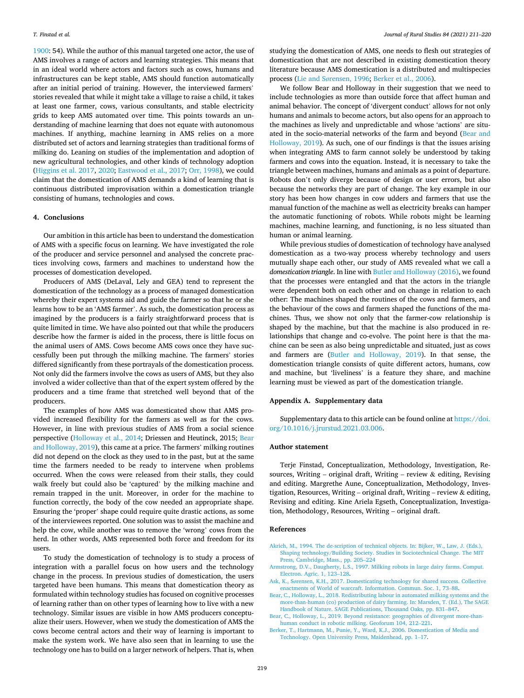<span id="page-8-0"></span>[1900:](#page-9-0) 54). While the author of this manual targeted one actor, the use of AMS involves a range of actors and learning strategies. This means that in an ideal world where actors and factors such as cows, humans and infrastructures can be kept stable, AMS should function automatically after an initial period of training. However, the interviewed farmers' stories revealed that while it might take a village to raise a child, it takes at least one farmer, cows, various consultants, and stable electricity grids to keep AMS automated over time. This points towards an understanding of machine learning that does not equate with autonomous machines. If anything, machine learning in AMS relies on a more distributed set of actors and learning strategies than traditional forms of milking do. Leaning on studies of the implementation and adoption of new agricultural technologies, and other kinds of technology adoption ([Higgins et al. 2017](#page-9-0), [2020; Eastwood et al., 2017](#page-9-0); [Orr, 1998](#page-9-0)), we could claim that the domestication of AMS demands a kind of learning that is continuous distributed improvisation within a domestication triangle consisting of humans, technologies and cows.

## **4. Conclusions**

Our ambition in this article has been to understand the domestication of AMS with a specific focus on learning. We have investigated the role of the producer and service personnel and analysed the concrete practices involving cows, farmers and machines to understand how the processes of domestication developed.

Producers of AMS (DeLaval, Lely and GEA) tend to represent the domestication of the technology as a process of managed domestication whereby their expert systems aid and guide the farmer so that he or she learns how to be an 'AMS farmer'. As such, the domestication process as imagined by the producers is a fairly straightforward process that is quite limited in time. We have also pointed out that while the producers describe how the farmer is aided in the process, there is little focus on the animal users of AMS. Cows become AMS cows once they have successfully been put through the milking machine. The farmers' stories differed significantly from these portrayals of the domestication process. Not only did the farmers involve the cows as users of AMS, but they also involved a wider collective than that of the expert system offered by the producers and a time frame that stretched well beyond that of the producers.

The examples of how AMS was domesticated show that AMS provided increased flexibility for the farmers as well as for the cows. However, in line with previous studies of AMS from a social science perspective [\(Holloway et al., 2014](#page-9-0); Driessen and Heutinck, 2015; Bear and Holloway, 2019), this came at a price. The farmers' milking routines did not depend on the clock as they used to in the past, but at the same time the farmers needed to be ready to intervene when problems occurred. When the cows were released from their stalls, they could walk freely but could also be 'captured' by the milking machine and remain trapped in the unit. Moreover, in order for the machine to function correctly, the body of the cow needed an appropriate shape. Ensuring the 'proper' shape could require quite drastic actions, as some of the interviewees reported. One solution was to assist the machine and help the cow, while another was to remove the 'wrong' cows from the herd. In other words, AMS represented both force and freedom for its users.

To study the domestication of technology is to study a process of integration with a parallel focus on how users and the technology change in the process. In previous studies of domestication, the users targeted have been humans. This means that domestication theory as formulated within technology studies has focused on cognitive processes of learning rather than on other types of learning how to live with a new technology. Similar issues are visible in how AMS producers conceptualize their users. However, when we study the domestication of AMS the cows become central actors and their way of learning is important to make the system work. We have also seen that in learning to use the technology one has to build on a larger network of helpers. That is, when

studying the domestication of AMS, one needs to flesh out strategies of domestication that are not described in existing domestication theory literature because AMS domestication is a distributed and multispecies process (Lie and Sø[rensen, 1996](#page-9-0); Berker et al., 2006).

We follow Bear and Holloway in their suggestion that we need to include technologies as more than outside force that affect human and animal behavior. The concept of 'divergent conduct' allows for not only humans and animals to become actors, but also opens for an approach to the machines as lively and unpredictable and whose 'actions' are situated in the socio-material networks of the farm and beyond (Bear and Holloway, 2019). As such, one of our findings is that the issues arising when integrating AMS to farm cannot solely be understood by taking farmers and cows into the equation. Instead, it is necessary to take the triangle between machines, humans and animals as a point of departure. Robots don't only diverge because of design or user errors, but also because the networks they are part of change. The key example in our story has been how changes in cow udders and farmers that use the manual function of the machine as well as electricity breaks can hamper the automatic functioning of robots. While robots might be learning machines, machine learning, and functioning, is no less situated than human or animal learning.

While previous studies of domestication of technology have analysed domestication as a two-way process whereby technology and users mutually shape each other, our study of AMS revealed what we call a *domestication triangle*. In line with [Butler and Holloway \(2016\)](#page-9-0), we found that the processes were entangled and that the actors in the triangle were dependent both on each other and on change in relation to each other: The machines shaped the routines of the cows and farmers, and the behaviour of the cows and farmers shaped the functions of the machines. Thus, we show not only that the farmer-cow relationship is shaped by the machine, but that the machine is also produced in relationships that change and co-evolve. The point here is that the machine can be seen as also being unpredictable and situated, just as cows and farmers are (Butler and Holloway, 2019). In that sense, the domestication triangle consists of quite different actors, humans, cow and machine, but 'liveliness' is a feature they share, and machine learning must be viewed as part of the domestication triangle.

#### **Appendix A. Supplementary data**

Supplementary data to this article can be found online at [https://doi.](https://doi.org/10.1016/j.jrurstud.2021.03.006)  [org/10.1016/j.jrurstud.2021.03.006.](https://doi.org/10.1016/j.jrurstud.2021.03.006)

## **Author statement**

Terje Finstad, Conceptualization, Methodology, Investigation, Resources, Writing – original draft, Writing – review  $\&$  editing, Revising and editing. Margrethe Aune, Conceptualization, Methodology, Investigation, Resources, Writing – original draft, Writing – review  $\&$  editing, Revising and editing. Kine Ariela Egseth, Conceptualization, Investigation, Methodology, Resources, Writing – original draft.

#### **References**

- [Akrich, M., 1994. The de-scription of technical objects. In: Bijker, W., Law, J. \(Eds.\),](http://refhub.elsevier.com/S0743-0167(21)00090-5/sref1)  [Shaping technology/Building Society. Studies in Sociotechnical Change. The MIT](http://refhub.elsevier.com/S0743-0167(21)00090-5/sref1)  [Press, Cambridge, Mass., pp. 205](http://refhub.elsevier.com/S0743-0167(21)00090-5/sref1)–224
- [Armstrong, D.V., Daugherty, L.S., 1997. Milking robots in large dairy farms. Comput.](http://refhub.elsevier.com/S0743-0167(21)00090-5/sref2) [Electron. Agric. 1, 123](http://refhub.elsevier.com/S0743-0167(21)00090-5/sref2)–128.
- Ask, K., Sø[rensen, K.H., 2017. Domesticating technology for shared success. Collective](http://refhub.elsevier.com/S0743-0167(21)00090-5/sref3)  [enactments of World of warcraft. Information. Commun. Soc. 1, 73](http://refhub.elsevier.com/S0743-0167(21)00090-5/sref3)–88.
- [Bear, C., Holloway, L., 2018. Redistributing labour in automated milking systems and the](http://refhub.elsevier.com/S0743-0167(21)00090-5/sref4)  [more-than-human \(co\) production of dairy farming. In: Marsden, T. \(Ed.\), The SAGE](http://refhub.elsevier.com/S0743-0167(21)00090-5/sref4)  [Handbook of Nature. SAGE Publications, Thousand Oaks, pp. 831](http://refhub.elsevier.com/S0743-0167(21)00090-5/sref4)–847.
- [Bear, C., Holloway, L., 2019. Beyond resistance: geographies of divergent more-than](http://refhub.elsevier.com/S0743-0167(21)00090-5/sref5)[human conduct in robotic milking. Geoforum 104, 212](http://refhub.elsevier.com/S0743-0167(21)00090-5/sref5)–221.
- [Berker, T., Hartmann, M., Punie, Y., Ward, K.J., 2006. Domestication of Media and](http://refhub.elsevier.com/S0743-0167(21)00090-5/sref6) [Technology. Open University Press, Maidenhead, pp. 1](http://refhub.elsevier.com/S0743-0167(21)00090-5/sref6)–17.